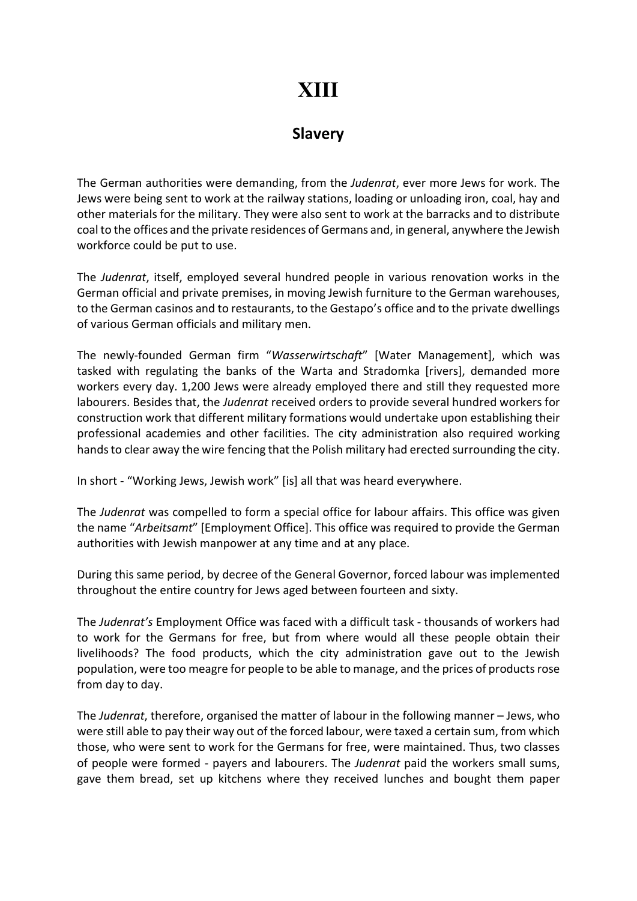## XIII

## **Slavery**

The German authorities were demanding, from the Judenrat, ever more Jews for work. The Jews were being sent to work at the railway stations, loading or unloading iron, coal, hay and other materials for the military. They were also sent to work at the barracks and to distribute coal to the offices and the private residences of Germans and, in general, anywhere the Jewish workforce could be put to use.

The Judenrat, itself, employed several hundred people in various renovation works in the German official and private premises, in moving Jewish furniture to the German warehouses, to the German casinos and to restaurants, to the Gestapo's office and to the private dwellings of various German officials and military men.

The newly-founded German firm "Wasserwirtschaft" [Water Management], which was tasked with regulating the banks of the Warta and Stradomka [rivers], demanded more workers every day. 1,200 Jews were already employed there and still they requested more labourers. Besides that, the Judenrat received orders to provide several hundred workers for construction work that different military formations would undertake upon establishing their professional academies and other facilities. The city administration also required working hands to clear away the wire fencing that the Polish military had erected surrounding the city.

In short - "Working Jews, Jewish work" [is] all that was heard everywhere.

The Judenrat was compelled to form a special office for labour affairs. This office was given the name "Arbeitsamt" [Employment Office]. This office was required to provide the German authorities with Jewish manpower at any time and at any place.

During this same period, by decree of the General Governor, forced labour was implemented throughout the entire country for Jews aged between fourteen and sixty.

The Judenrat's Employment Office was faced with a difficult task - thousands of workers had to work for the Germans for free, but from where would all these people obtain their livelihoods? The food products, which the city administration gave out to the Jewish population, were too meagre for people to be able to manage, and the prices of products rose from day to day.

The Judenrat, therefore, organised the matter of labour in the following manner – Jews, who were still able to pay their way out of the forced labour, were taxed a certain sum, from which those, who were sent to work for the Germans for free, were maintained. Thus, two classes of people were formed - payers and labourers. The Judenrat paid the workers small sums, gave them bread, set up kitchens where they received lunches and bought them paper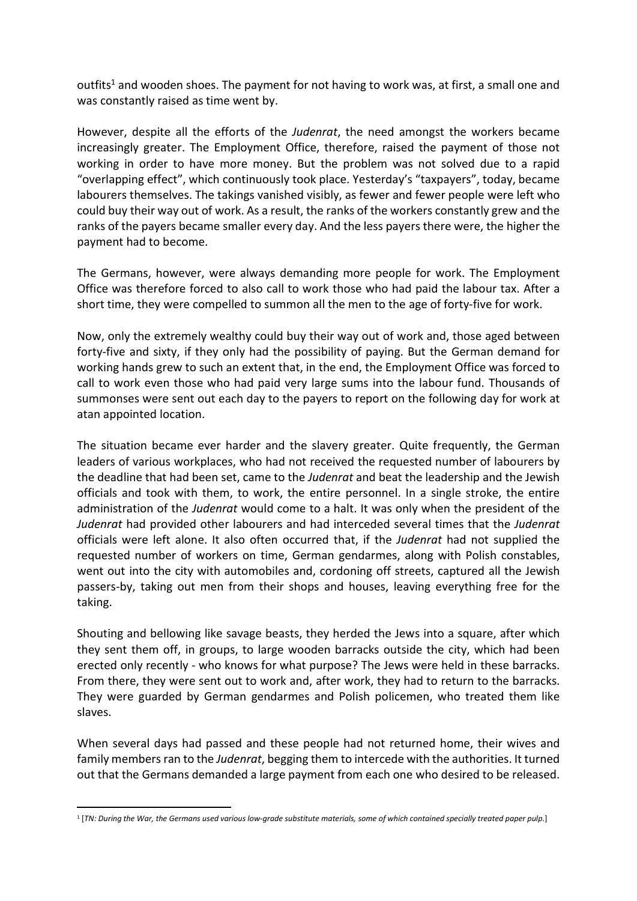outfits<sup>1</sup> and wooden shoes. The payment for not having to work was, at first, a small one and was constantly raised as time went by.

However, despite all the efforts of the Judenrat, the need amongst the workers became increasingly greater. The Employment Office, therefore, raised the payment of those not working in order to have more money. But the problem was not solved due to a rapid "overlapping effect", which continuously took place. Yesterday's "taxpayers", today, became labourers themselves. The takings vanished visibly, as fewer and fewer people were left who could buy their way out of work. As a result, the ranks of the workers constantly grew and the ranks of the payers became smaller every day. And the less payers there were, the higher the payment had to become.

The Germans, however, were always demanding more people for work. The Employment Office was therefore forced to also call to work those who had paid the labour tax. After a short time, they were compelled to summon all the men to the age of forty-five for work.

Now, only the extremely wealthy could buy their way out of work and, those aged between forty-five and sixty, if they only had the possibility of paying. But the German demand for working hands grew to such an extent that, in the end, the Employment Office was forced to call to work even those who had paid very large sums into the labour fund. Thousands of summonses were sent out each day to the payers to report on the following day for work at atan appointed location.

The situation became ever harder and the slavery greater. Quite frequently, the German leaders of various workplaces, who had not received the requested number of labourers by the deadline that had been set, came to the Judenrat and beat the leadership and the Jewish officials and took with them, to work, the entire personnel. In a single stroke, the entire administration of the Judenrat would come to a halt. It was only when the president of the Judenrat had provided other labourers and had interceded several times that the Judenrat officials were left alone. It also often occurred that, if the Judenrat had not supplied the requested number of workers on time, German gendarmes, along with Polish constables, went out into the city with automobiles and, cordoning off streets, captured all the Jewish passers-by, taking out men from their shops and houses, leaving everything free for the taking.

Shouting and bellowing like savage beasts, they herded the Jews into a square, after which they sent them off, in groups, to large wooden barracks outside the city, which had been erected only recently - who knows for what purpose? The Jews were held in these barracks. From there, they were sent out to work and, after work, they had to return to the barracks. They were guarded by German gendarmes and Polish policemen, who treated them like slaves.

When several days had passed and these people had not returned home, their wives and family members ran to the *Judenrat*, begging them to intercede with the authorities. It turned out that the Germans demanded a large payment from each one who desired to be released.

<sup>&</sup>lt;sup>1</sup> [TN: During the War, the Germans used various low-grade substitute materials, some of which contained specially treated paper pulp.]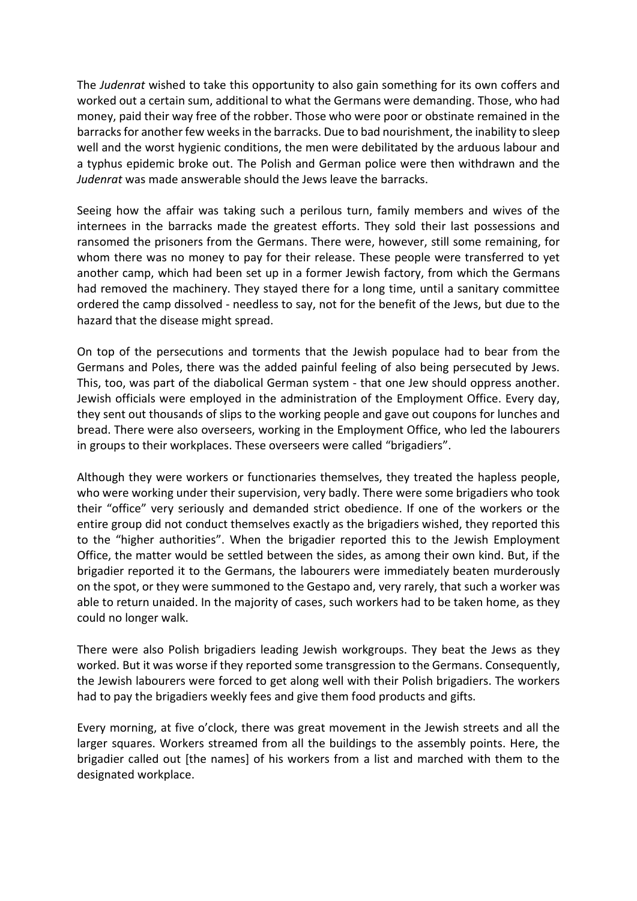The Judenrat wished to take this opportunity to also gain something for its own coffers and worked out a certain sum, additional to what the Germans were demanding. Those, who had money, paid their way free of the robber. Those who were poor or obstinate remained in the barracks for another few weeks in the barracks. Due to bad nourishment, the inability to sleep well and the worst hygienic conditions, the men were debilitated by the arduous labour and a typhus epidemic broke out. The Polish and German police were then withdrawn and the Judenrat was made answerable should the Jews leave the barracks.

Seeing how the affair was taking such a perilous turn, family members and wives of the internees in the barracks made the greatest efforts. They sold their last possessions and ransomed the prisoners from the Germans. There were, however, still some remaining, for whom there was no money to pay for their release. These people were transferred to yet another camp, which had been set up in a former Jewish factory, from which the Germans had removed the machinery. They stayed there for a long time, until a sanitary committee ordered the camp dissolved - needless to say, not for the benefit of the Jews, but due to the hazard that the disease might spread.

On top of the persecutions and torments that the Jewish populace had to bear from the Germans and Poles, there was the added painful feeling of also being persecuted by Jews. This, too, was part of the diabolical German system - that one Jew should oppress another. Jewish officials were employed in the administration of the Employment Office. Every day, they sent out thousands of slips to the working people and gave out coupons for lunches and bread. There were also overseers, working in the Employment Office, who led the labourers in groups to their workplaces. These overseers were called "brigadiers".

Although they were workers or functionaries themselves, they treated the hapless people, who were working under their supervision, very badly. There were some brigadiers who took their "office" very seriously and demanded strict obedience. If one of the workers or the entire group did not conduct themselves exactly as the brigadiers wished, they reported this to the "higher authorities". When the brigadier reported this to the Jewish Employment Office, the matter would be settled between the sides, as among their own kind. But, if the brigadier reported it to the Germans, the labourers were immediately beaten murderously on the spot, or they were summoned to the Gestapo and, very rarely, that such a worker was able to return unaided. In the majority of cases, such workers had to be taken home, as they could no longer walk.

There were also Polish brigadiers leading Jewish workgroups. They beat the Jews as they worked. But it was worse if they reported some transgression to the Germans. Consequently, the Jewish labourers were forced to get along well with their Polish brigadiers. The workers had to pay the brigadiers weekly fees and give them food products and gifts.

Every morning, at five o'clock, there was great movement in the Jewish streets and all the larger squares. Workers streamed from all the buildings to the assembly points. Here, the brigadier called out [the names] of his workers from a list and marched with them to the designated workplace.